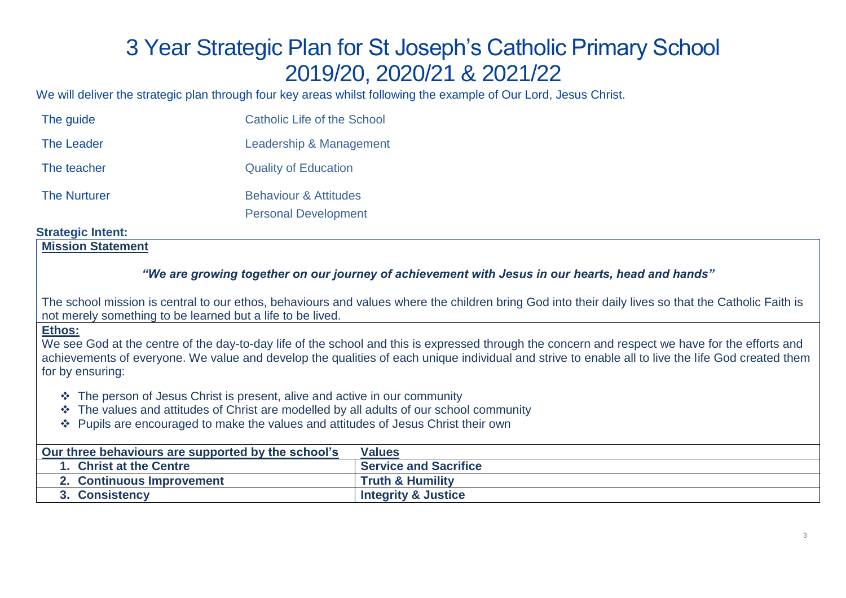# 3 Year Strategic Plan for St Joseph's Catholic Primary School 2019/20, 2020/21 & 2021/22

We will deliver the strategic plan through four key areas whilst following the example of Our Lord, Jesus Christ.

| The guide           | <b>Catholic Life of the School</b> |
|---------------------|------------------------------------|
| <b>The Leader</b>   | Leadership & Management            |
| The teacher         | <b>Quality of Education</b>        |
| <b>The Nurturer</b> | <b>Behaviour &amp; Attitudes</b>   |
|                     | <b>Personal Development</b>        |

# **Strategic Intent:**

# **Mission Statement**

# *"We are growing together on our journey of achievement with Jesus in our hearts, head and hands"*

The school mission is central to our ethos, behaviours and values where the children bring God into their daily lives so that the Catholic Faith is not merely something to be learned but a life to be lived.

#### **Ethos:**

We see God at the centre of the day-to-day life of the school and this is expressed through the concern and respect we have for the efforts and achievements of everyone. We value and develop the qualities of each unique individual and strive to enable all to live the life God created them for by ensuring:

- ❖ The person of Jesus Christ is present, alive and active in our community
- ❖ The values and attitudes of Christ are modelled by all adults of our school community
- ❖ Pupils are encouraged to make the values and attitudes of Jesus Christ their own

| Our three behaviours are supported by the school's | Values                         |
|----------------------------------------------------|--------------------------------|
| <b>Christ at the Centre</b>                        | <b>Service and Sacrifice</b>   |
| 2. Continuous Improvement                          | <b>Truth &amp; Humility</b>    |
| <b>Consistency</b>                                 | <b>Integrity &amp; Justice</b> |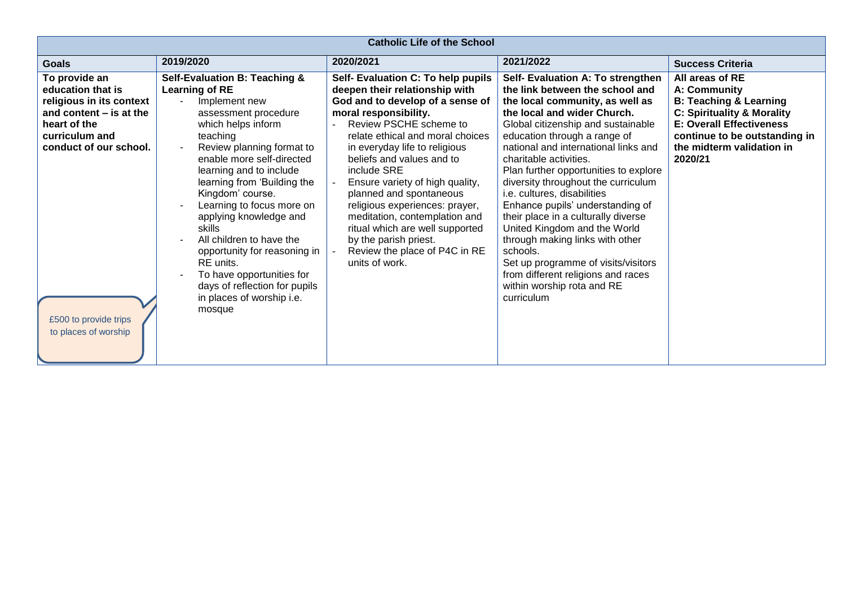| <b>Catholic Life of the School</b>                                                                                                                                                                       |                                                                                                                                                                                                                                                                                                                                                                                                                                                                                                                   |                                                                                                                                                                                                                                                                                                                                                                                                                                                                                                                              |                                                                                                                                                                                                                                                                                                                                                                                                                                                                                                                                                                                                                                                                                  |                                                                                                                                                                                                                           |
|----------------------------------------------------------------------------------------------------------------------------------------------------------------------------------------------------------|-------------------------------------------------------------------------------------------------------------------------------------------------------------------------------------------------------------------------------------------------------------------------------------------------------------------------------------------------------------------------------------------------------------------------------------------------------------------------------------------------------------------|------------------------------------------------------------------------------------------------------------------------------------------------------------------------------------------------------------------------------------------------------------------------------------------------------------------------------------------------------------------------------------------------------------------------------------------------------------------------------------------------------------------------------|----------------------------------------------------------------------------------------------------------------------------------------------------------------------------------------------------------------------------------------------------------------------------------------------------------------------------------------------------------------------------------------------------------------------------------------------------------------------------------------------------------------------------------------------------------------------------------------------------------------------------------------------------------------------------------|---------------------------------------------------------------------------------------------------------------------------------------------------------------------------------------------------------------------------|
| <b>Goals</b>                                                                                                                                                                                             | 2019/2020                                                                                                                                                                                                                                                                                                                                                                                                                                                                                                         | 2020/2021                                                                                                                                                                                                                                                                                                                                                                                                                                                                                                                    | 2021/2022                                                                                                                                                                                                                                                                                                                                                                                                                                                                                                                                                                                                                                                                        | <b>Success Criteria</b>                                                                                                                                                                                                   |
| To provide an<br>education that is<br>religious in its context<br>and content $-$ is at the<br>heart of the<br>curriculum and<br>conduct of our school.<br>£500 to provide trips<br>to places of worship | Self-Evaluation B: Teaching &<br>Learning of RE<br>Implement new<br>assessment procedure<br>which helps inform<br>teaching<br>Review planning format to<br>enable more self-directed<br>learning and to include<br>learning from 'Building the<br>Kingdom' course.<br>Learning to focus more on<br>applying knowledge and<br>skills<br>All children to have the<br>opportunity for reasoning in<br>RE units.<br>To have opportunities for<br>days of reflection for pupils<br>in places of worship i.e.<br>mosque | Self- Evaluation C: To help pupils<br>deepen their relationship with<br>God and to develop of a sense of<br>moral responsibility.<br>Review PSCHE scheme to<br>relate ethical and moral choices<br>in everyday life to religious<br>beliefs and values and to<br>include SRE<br>Ensure variety of high quality,<br>planned and spontaneous<br>religious experiences: prayer,<br>meditation, contemplation and<br>ritual which are well supported<br>by the parish priest.<br>Review the place of P4C in RE<br>units of work. | Self- Evaluation A: To strengthen<br>the link between the school and<br>the local community, as well as<br>the local and wider Church.<br>Global citizenship and sustainable<br>education through a range of<br>national and international links and<br>charitable activities.<br>Plan further opportunities to explore<br>diversity throughout the curriculum<br>i.e. cultures, disabilities<br>Enhance pupils' understanding of<br>their place in a culturally diverse<br>United Kingdom and the World<br>through making links with other<br>schools.<br>Set up programme of visits/visitors<br>from different religions and races<br>within worship rota and RE<br>curriculum | All areas of RE<br>A: Community<br><b>B: Teaching &amp; Learning</b><br><b>C: Spirituality &amp; Morality</b><br><b>E: Overall Effectiveness</b><br>continue to be outstanding in<br>the midterm validation in<br>2020/21 |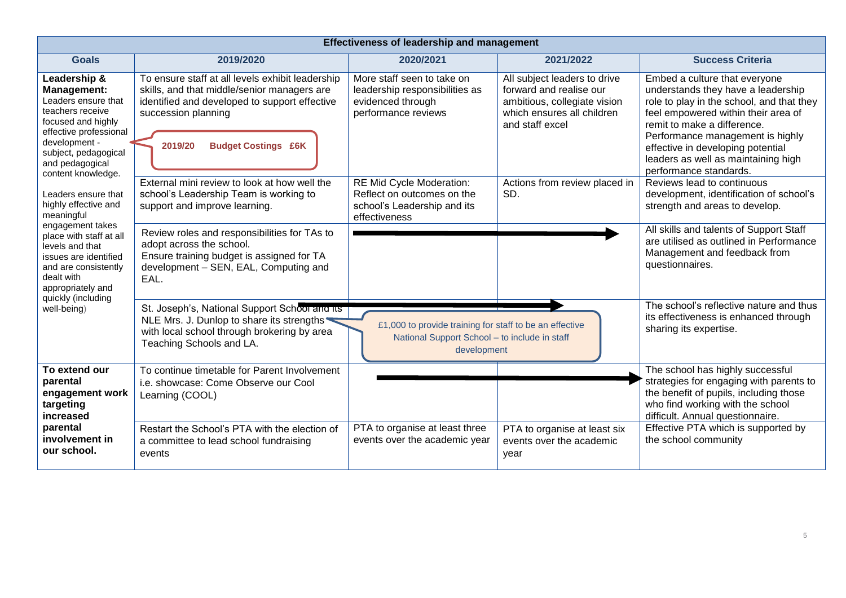| <b>Effectiveness of leadership and management</b>                                                                                                                                                               |                                                                                                                                                                                                                  |                                                                                                                         |                                                                                                                                          |                                                                                                                                                                                                                                                                                                                                  |
|-----------------------------------------------------------------------------------------------------------------------------------------------------------------------------------------------------------------|------------------------------------------------------------------------------------------------------------------------------------------------------------------------------------------------------------------|-------------------------------------------------------------------------------------------------------------------------|------------------------------------------------------------------------------------------------------------------------------------------|----------------------------------------------------------------------------------------------------------------------------------------------------------------------------------------------------------------------------------------------------------------------------------------------------------------------------------|
| <b>Goals</b>                                                                                                                                                                                                    | 2019/2020                                                                                                                                                                                                        | 2020/2021                                                                                                               | 2021/2022                                                                                                                                | <b>Success Criteria</b>                                                                                                                                                                                                                                                                                                          |
| Leadership &<br><b>Management:</b><br>Leaders ensure that<br>teachers receive<br>focused and highly<br>effective professional<br>development -<br>subject, pedagogical<br>and pedagogical<br>content knowledge. | To ensure staff at all levels exhibit leadership<br>skills, and that middle/senior managers are<br>identified and developed to support effective<br>succession planning<br><b>Budget Costings £6K</b><br>2019/20 | More staff seen to take on<br>leadership responsibilities as<br>evidenced through<br>performance reviews                | All subject leaders to drive<br>forward and realise our<br>ambitious, collegiate vision<br>which ensures all children<br>and staff excel | Embed a culture that everyone<br>understands they have a leadership<br>role to play in the school, and that they<br>feel empowered within their area of<br>remit to make a difference.<br>Performance management is highly<br>effective in developing potential<br>leaders as well as maintaining high<br>performance standards. |
| Leaders ensure that<br>highly effective and<br>meaningful                                                                                                                                                       | External mini review to look at how well the<br>school's Leadership Team is working to<br>support and improve learning.                                                                                          | RE Mid Cycle Moderation:<br>Reflect on outcomes on the<br>school's Leadership and its<br>effectiveness                  | Actions from review placed in<br>SD.                                                                                                     | Reviews lead to continuous<br>development, identification of school's<br>strength and areas to develop.                                                                                                                                                                                                                          |
| engagement takes<br>place with staff at all<br>levels and that<br>issues are identified<br>and are consistently<br>dealt with<br>appropriately and                                                              | Review roles and responsibilities for TAs to<br>adopt across the school.<br>Ensure training budget is assigned for TA<br>development - SEN, EAL, Computing and<br>EAL.                                           |                                                                                                                         |                                                                                                                                          | All skills and talents of Support Staff<br>are utilised as outlined in Performance<br>Management and feedback from<br>questionnaires.                                                                                                                                                                                            |
| quickly (including<br>well-being)                                                                                                                                                                               | St. Joseph's, National Support School and its<br>NLE Mrs. J. Dunlop to share its strengths<br>with local school through brokering by area<br>Teaching Schools and LA.                                            | £1,000 to provide training for staff to be an effective<br>National Support School - to include in staff<br>development |                                                                                                                                          | The school's reflective nature and thus<br>its effectiveness is enhanced through<br>sharing its expertise.                                                                                                                                                                                                                       |
| To extend our<br>parental<br>engagement work<br>targeting<br>increased                                                                                                                                          | To continue timetable for Parent Involvement<br>i.e. showcase: Come Observe our Cool<br>Learning (COOL)                                                                                                          |                                                                                                                         |                                                                                                                                          | The school has highly successful<br>strategies for engaging with parents to<br>the benefit of pupils, including those<br>who find working with the school<br>difficult. Annual questionnaire.                                                                                                                                    |
| parental<br>involvement in<br>our school.                                                                                                                                                                       | Restart the School's PTA with the election of<br>a committee to lead school fundraising<br>events                                                                                                                | PTA to organise at least three<br>events over the academic year                                                         | PTA to organise at least six<br>events over the academic<br>year                                                                         | Effective PTA which is supported by<br>the school community                                                                                                                                                                                                                                                                      |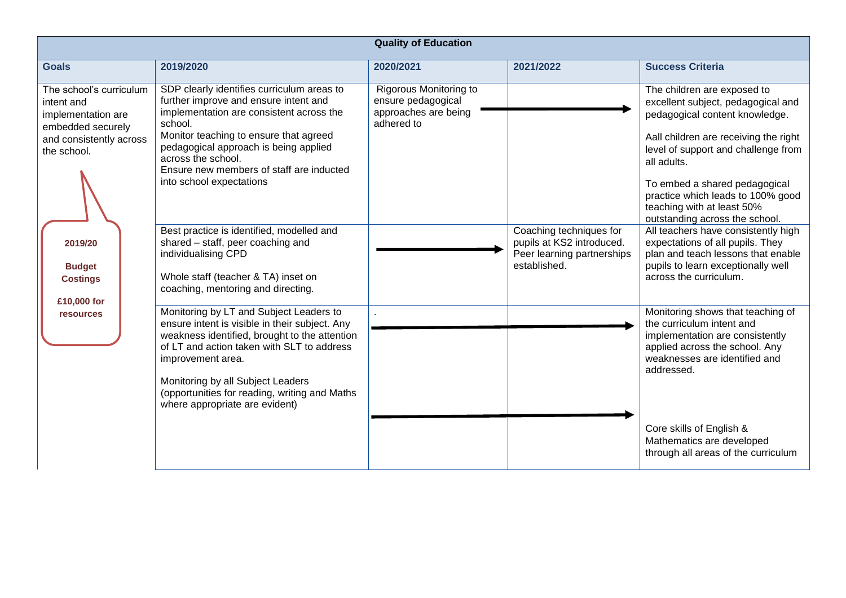| <b>Quality of Education</b>                                                                                                                                               |                                                                                                                                                                                                                                                                                                                                                                                                                                                                                                                   |                                                                                    |                                                                                                    |                                                                                                                                                                                                                                                                                                                                                                                                                                                                                                                           |  |
|---------------------------------------------------------------------------------------------------------------------------------------------------------------------------|-------------------------------------------------------------------------------------------------------------------------------------------------------------------------------------------------------------------------------------------------------------------------------------------------------------------------------------------------------------------------------------------------------------------------------------------------------------------------------------------------------------------|------------------------------------------------------------------------------------|----------------------------------------------------------------------------------------------------|---------------------------------------------------------------------------------------------------------------------------------------------------------------------------------------------------------------------------------------------------------------------------------------------------------------------------------------------------------------------------------------------------------------------------------------------------------------------------------------------------------------------------|--|
| <b>Goals</b>                                                                                                                                                              | 2019/2020                                                                                                                                                                                                                                                                                                                                                                                                                                                                                                         | 2020/2021                                                                          | 2021/2022                                                                                          | <b>Success Criteria</b>                                                                                                                                                                                                                                                                                                                                                                                                                                                                                                   |  |
| The school's curriculum<br>intent and<br>implementation are<br>embedded securely<br>and consistently across<br>the school.<br>2019/20<br><b>Budget</b><br><b>Costings</b> | SDP clearly identifies curriculum areas to<br>further improve and ensure intent and<br>implementation are consistent across the<br>school.<br>Monitor teaching to ensure that agreed<br>pedagogical approach is being applied<br>across the school.<br>Ensure new members of staff are inducted<br>into school expectations<br>Best practice is identified, modelled and<br>shared - staff, peer coaching and<br>individualising CPD<br>Whole staff (teacher & TA) inset on<br>coaching, mentoring and directing. | Rigorous Monitoring to<br>ensure pedagogical<br>approaches are being<br>adhered to | Coaching techniques for<br>pupils at KS2 introduced.<br>Peer learning partnerships<br>established. | The children are exposed to<br>excellent subject, pedagogical and<br>pedagogical content knowledge.<br>Aall children are receiving the right<br>level of support and challenge from<br>all adults.<br>To embed a shared pedagogical<br>practice which leads to 100% good<br>teaching with at least 50%<br>outstanding across the school.<br>All teachers have consistently high<br>expectations of all pupils. They<br>plan and teach lessons that enable<br>pupils to learn exceptionally well<br>across the curriculum. |  |
| £10,000 for<br><b>resources</b>                                                                                                                                           | Monitoring by LT and Subject Leaders to<br>ensure intent is visible in their subject. Any<br>weakness identified, brought to the attention<br>of LT and action taken with SLT to address<br>improvement area.<br>Monitoring by all Subject Leaders<br>(opportunities for reading, writing and Maths<br>where appropriate are evident)                                                                                                                                                                             |                                                                                    |                                                                                                    | Monitoring shows that teaching of<br>the curriculum intent and<br>implementation are consistently<br>applied across the school. Any<br>weaknesses are identified and<br>addressed.<br>Core skills of English &<br>Mathematics are developed<br>through all areas of the curriculum                                                                                                                                                                                                                                        |  |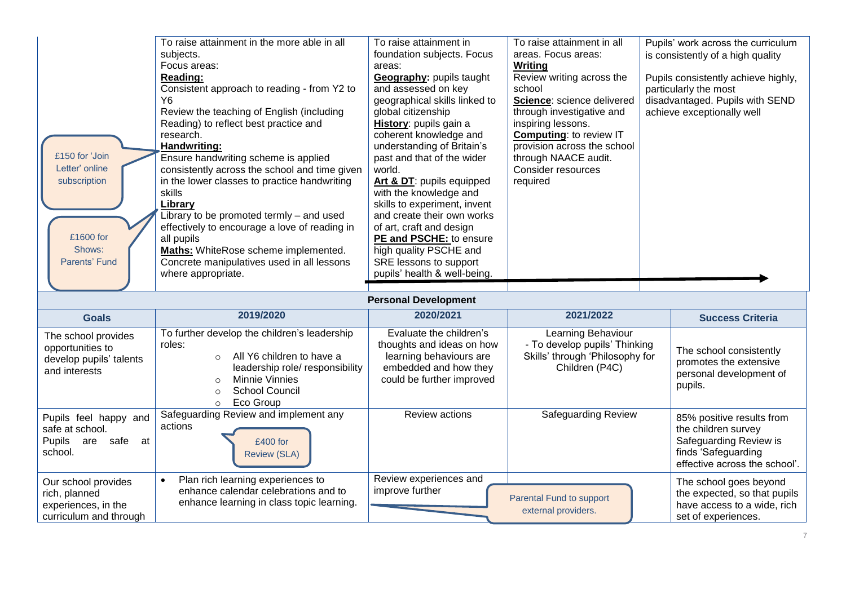| £150 for 'Join<br>Letter' online<br>subscription                                      | To raise attainment in the more able in all<br>subjects.<br>Focus areas:<br>Reading:<br>Consistent approach to reading - from Y2 to<br>Y6<br>Review the teaching of English (including<br>Reading) to reflect best practice and<br>research.<br>Handwriting:<br>Ensure handwriting scheme is applied<br>consistently across the school and time given<br>in the lower classes to practice handwriting<br>skills<br>Library | To raise attainment in<br>foundation subjects. Focus<br>areas:<br>Geography: pupils taught<br>and assessed on key<br>geographical skills linked to<br>global citizenship<br>History: pupils gain a<br>coherent knowledge and<br>understanding of Britain's<br>past and that of the wider<br>world.<br>Art & DT: pupils equipped<br>with the knowledge and<br>skills to experiment, invent | To raise attainment in all<br>areas. Focus areas:<br>Writing<br>Review writing across the<br>school<br>Science: science delivered<br>through investigative and<br>inspiring lessons.<br><b>Computing: to review IT</b><br>provision across the school<br>through NAACE audit.<br>Consider resources<br>required | Pupils' work across the curriculum<br>is consistently of a high quality<br>Pupils consistently achieve highly,<br>particularly the most<br>disadvantaged. Pupils with SEND<br>achieve exceptionally well |
|---------------------------------------------------------------------------------------|----------------------------------------------------------------------------------------------------------------------------------------------------------------------------------------------------------------------------------------------------------------------------------------------------------------------------------------------------------------------------------------------------------------------------|-------------------------------------------------------------------------------------------------------------------------------------------------------------------------------------------------------------------------------------------------------------------------------------------------------------------------------------------------------------------------------------------|-----------------------------------------------------------------------------------------------------------------------------------------------------------------------------------------------------------------------------------------------------------------------------------------------------------------|----------------------------------------------------------------------------------------------------------------------------------------------------------------------------------------------------------|
| £1600 for<br>Shows:<br>Parents' Fund                                                  | Library to be promoted termly - and used<br>effectively to encourage a love of reading in<br>all pupils<br><b>Maths:</b> WhiteRose scheme implemented.<br>Concrete manipulatives used in all lessons<br>where appropriate.                                                                                                                                                                                                 | and create their own works<br>of art, craft and design<br>PE and PSCHE: to ensure<br>high quality PSCHE and<br>SRE lessons to support<br>pupils' health & well-being.<br><b>Personal Development</b>                                                                                                                                                                                      |                                                                                                                                                                                                                                                                                                                 |                                                                                                                                                                                                          |
| <b>Goals</b>                                                                          | 2019/2020                                                                                                                                                                                                                                                                                                                                                                                                                  | 2020/2021                                                                                                                                                                                                                                                                                                                                                                                 | 2021/2022                                                                                                                                                                                                                                                                                                       | <b>Success Criteria</b>                                                                                                                                                                                  |
| The school provides<br>opportunities to<br>develop pupils' talents<br>and interests   | To further develop the children's leadership<br>roles:<br>All Y6 children to have a<br>$\circ$<br>leadership role/ responsibility<br><b>Minnie Vinnies</b><br>$\circ$<br><b>School Council</b><br>$\circ$<br>Eco Group<br>$\circ$                                                                                                                                                                                          | Evaluate the children's<br>thoughts and ideas on how<br>learning behaviours are<br>embedded and how they<br>could be further improved                                                                                                                                                                                                                                                     | Learning Behaviour<br>- To develop pupils' Thinking<br>Skills' through 'Philosophy for<br>Children (P4C)                                                                                                                                                                                                        | The school consistently<br>promotes the extensive<br>personal development of<br>pupils.                                                                                                                  |
| Pupils feel happy and<br>safe at school.<br>Pupils<br>safe at<br>are<br>school.       | Safeguarding Review and implement any<br>actions<br>£400 for<br><b>Review (SLA)</b>                                                                                                                                                                                                                                                                                                                                        | Review actions                                                                                                                                                                                                                                                                                                                                                                            | Safeguarding Review                                                                                                                                                                                                                                                                                             | 85% positive results from<br>the children survey<br>Safeguarding Review is<br>finds 'Safeguarding<br>effective across the school'.                                                                       |
| Our school provides<br>rich, planned<br>experiences, in the<br>curriculum and through | Plan rich learning experiences to<br>$\bullet$<br>enhance calendar celebrations and to<br>enhance learning in class topic learning.                                                                                                                                                                                                                                                                                        | Review experiences and<br>improve further                                                                                                                                                                                                                                                                                                                                                 | Parental Fund to support<br>external providers.                                                                                                                                                                                                                                                                 | The school goes beyond<br>the expected, so that pupils<br>have access to a wide, rich<br>set of experiences.                                                                                             |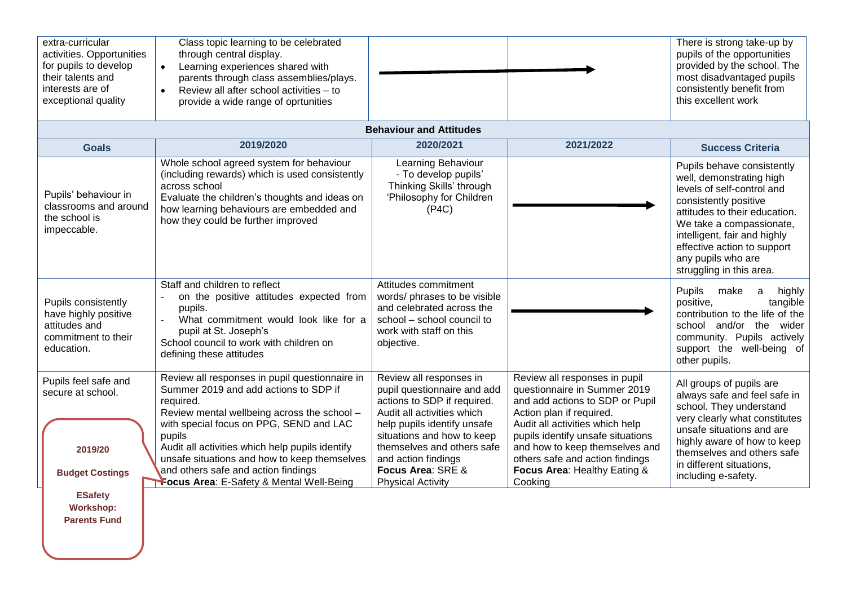| extra-curricular<br>activities. Opportunities<br>for pupils to develop<br>their talents and<br>interests are of<br>exceptional quality | Class topic learning to be celebrated<br>through central display.<br>Learning experiences shared with<br>$\bullet$<br>parents through class assemblies/plays.<br>Review all after school activities - to<br>$\bullet$<br>provide a wide range of oprtunities                                                                                                                                   |                                                                                                                                                                                                                                                                                        |                                                                                                                                                                                                                                                                                                                      | There is strong take-up by<br>pupils of the opportunities<br>provided by the school. The<br>most disadvantaged pupils<br>consistently benefit from<br>this excellent work                                                                                                                   |
|----------------------------------------------------------------------------------------------------------------------------------------|------------------------------------------------------------------------------------------------------------------------------------------------------------------------------------------------------------------------------------------------------------------------------------------------------------------------------------------------------------------------------------------------|----------------------------------------------------------------------------------------------------------------------------------------------------------------------------------------------------------------------------------------------------------------------------------------|----------------------------------------------------------------------------------------------------------------------------------------------------------------------------------------------------------------------------------------------------------------------------------------------------------------------|---------------------------------------------------------------------------------------------------------------------------------------------------------------------------------------------------------------------------------------------------------------------------------------------|
|                                                                                                                                        |                                                                                                                                                                                                                                                                                                                                                                                                | <b>Behaviour and Attitudes</b>                                                                                                                                                                                                                                                         |                                                                                                                                                                                                                                                                                                                      |                                                                                                                                                                                                                                                                                             |
| <b>Goals</b>                                                                                                                           | 2019/2020                                                                                                                                                                                                                                                                                                                                                                                      | 2020/2021                                                                                                                                                                                                                                                                              | 2021/2022                                                                                                                                                                                                                                                                                                            | <b>Success Criteria</b>                                                                                                                                                                                                                                                                     |
| Pupils' behaviour in<br>classrooms and around<br>the school is<br>impeccable.                                                          | Whole school agreed system for behaviour<br>(including rewards) which is used consistently<br>across school<br>Evaluate the children's thoughts and ideas on<br>how learning behaviours are embedded and<br>how they could be further improved                                                                                                                                                 | Learning Behaviour<br>- To develop pupils'<br>Thinking Skills' through<br>'Philosophy for Children<br>(P4C)                                                                                                                                                                            |                                                                                                                                                                                                                                                                                                                      | Pupils behave consistently<br>well, demonstrating high<br>levels of self-control and<br>consistently positive<br>attitudes to their education.<br>We take a compassionate,<br>intelligent, fair and highly<br>effective action to support<br>any pupils who are<br>struggling in this area. |
| Pupils consistently<br>have highly positive<br>attitudes and<br>commitment to their<br>education.                                      | Staff and children to reflect<br>on the positive attitudes expected from<br>$\omega$<br>pupils.<br>What commitment would look like for a<br>$\overline{a}$<br>pupil at St. Joseph's<br>School council to work with children on<br>defining these attitudes                                                                                                                                     | Attitudes commitment<br>words/ phrases to be visible<br>and celebrated across the<br>school - school council to<br>work with staff on this<br>objective.                                                                                                                               |                                                                                                                                                                                                                                                                                                                      | Pupils<br>make<br>highly<br>a<br>positive,<br>tangible<br>contribution to the life of the<br>school and/or the wider<br>community. Pupils actively<br>support the well-being of<br>other pupils.                                                                                            |
| Pupils feel safe and<br>secure at school.<br>2019/20<br><b>Budget Costings</b>                                                         | Review all responses in pupil questionnaire in<br>Summer 2019 and add actions to SDP if<br>required.<br>Review mental wellbeing across the school -<br>with special focus on PPG, SEND and LAC<br>pupils<br>Audit all activities which help pupils identify<br>unsafe situations and how to keep themselves<br>and others safe and action findings<br>Focus Area: E-Safety & Mental Well-Being | Review all responses in<br>pupil questionnaire and add<br>actions to SDP if required.<br>Audit all activities which<br>help pupils identify unsafe<br>situations and how to keep<br>themselves and others safe<br>and action findings<br>Focus Area: SRE &<br><b>Physical Activity</b> | Review all responses in pupil<br>questionnaire in Summer 2019<br>and add actions to SDP or Pupil<br>Action plan if required.<br>Audit all activities which help<br>pupils identify unsafe situations<br>and how to keep themselves and<br>others safe and action findings<br>Focus Area: Healthy Eating &<br>Cooking | All groups of pupils are<br>always safe and feel safe in<br>school. They understand<br>very clearly what constitutes<br>unsafe situations and are<br>highly aware of how to keep<br>themselves and others safe<br>in different situations,<br>including e-safety.                           |
| <b>ESafety</b><br><b>Workshop:</b><br><b>Parents Fund</b>                                                                              |                                                                                                                                                                                                                                                                                                                                                                                                |                                                                                                                                                                                                                                                                                        |                                                                                                                                                                                                                                                                                                                      |                                                                                                                                                                                                                                                                                             |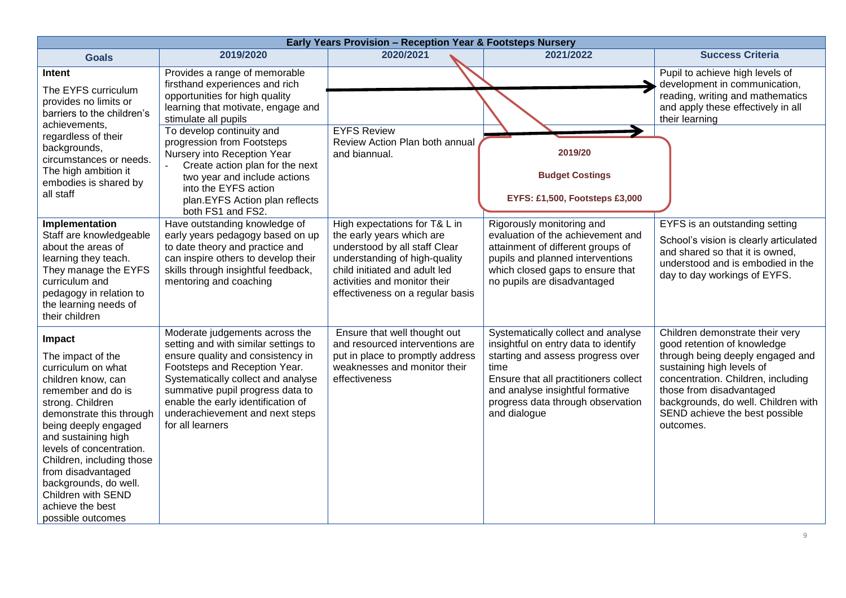| Early Years Provision - Reception Year & Footsteps Nursery                                                                                                                                                                                                                                                                                                          |                                                                                                                                                                                                                                                                                                                     |                                                                                                                                                                                                                                   |                                                                                                                                                                                                                                                           |                                                                                                                                                                                                                                                                                         |  |
|---------------------------------------------------------------------------------------------------------------------------------------------------------------------------------------------------------------------------------------------------------------------------------------------------------------------------------------------------------------------|---------------------------------------------------------------------------------------------------------------------------------------------------------------------------------------------------------------------------------------------------------------------------------------------------------------------|-----------------------------------------------------------------------------------------------------------------------------------------------------------------------------------------------------------------------------------|-----------------------------------------------------------------------------------------------------------------------------------------------------------------------------------------------------------------------------------------------------------|-----------------------------------------------------------------------------------------------------------------------------------------------------------------------------------------------------------------------------------------------------------------------------------------|--|
| <b>Goals</b>                                                                                                                                                                                                                                                                                                                                                        | 2019/2020                                                                                                                                                                                                                                                                                                           | 2020/2021                                                                                                                                                                                                                         | 2021/2022                                                                                                                                                                                                                                                 | <b>Success Criteria</b>                                                                                                                                                                                                                                                                 |  |
| Intent<br>The EYFS curriculum<br>provides no limits or<br>barriers to the children's                                                                                                                                                                                                                                                                                | Provides a range of memorable<br>firsthand experiences and rich<br>opportunities for high quality<br>learning that motivate, engage and<br>stimulate all pupils                                                                                                                                                     |                                                                                                                                                                                                                                   |                                                                                                                                                                                                                                                           | Pupil to achieve high levels of<br>development in communication,<br>reading, writing and mathematics<br>and apply these effectively in all<br>their learning                                                                                                                            |  |
| achievements,<br>regardless of their<br>backgrounds,<br>circumstances or needs.                                                                                                                                                                                                                                                                                     | To develop continuity and<br>progression from Footsteps<br>Nursery into Reception Year<br>Create action plan for the next                                                                                                                                                                                           | <b>EYFS Review</b><br>Review Action Plan both annual<br>and biannual.                                                                                                                                                             | 2019/20                                                                                                                                                                                                                                                   |                                                                                                                                                                                                                                                                                         |  |
| The high ambition it<br>embodies is shared by<br>all staff                                                                                                                                                                                                                                                                                                          | two year and include actions<br>into the EYFS action<br>plan.EYFS Action plan reflects                                                                                                                                                                                                                              |                                                                                                                                                                                                                                   | <b>Budget Costings</b><br><b>EYFS: £1,500, Footsteps £3,000</b>                                                                                                                                                                                           |                                                                                                                                                                                                                                                                                         |  |
|                                                                                                                                                                                                                                                                                                                                                                     | both FS1 and FS2.                                                                                                                                                                                                                                                                                                   |                                                                                                                                                                                                                                   |                                                                                                                                                                                                                                                           |                                                                                                                                                                                                                                                                                         |  |
| Implementation<br>Staff are knowledgeable<br>about the areas of<br>learning they teach.<br>They manage the EYFS<br>curriculum and<br>pedagogy in relation to<br>the learning needs of<br>their children                                                                                                                                                             | Have outstanding knowledge of<br>early years pedagogy based on up<br>to date theory and practice and<br>can inspire others to develop their<br>skills through insightful feedback,<br>mentoring and coaching                                                                                                        | High expectations for T& L in<br>the early years which are<br>understood by all staff Clear<br>understanding of high-quality<br>child initiated and adult led<br>activities and monitor their<br>effectiveness on a regular basis | Rigorously monitoring and<br>evaluation of the achievement and<br>attainment of different groups of<br>pupils and planned interventions<br>which closed gaps to ensure that<br>no pupils are disadvantaged                                                | EYFS is an outstanding setting<br>School's vision is clearly articulated<br>and shared so that it is owned.<br>understood and is embodied in the<br>day to day workings of EYFS.                                                                                                        |  |
| Impact<br>The impact of the<br>curriculum on what<br>children know, can<br>remember and do is<br>strong. Children<br>demonstrate this through<br>being deeply engaged<br>and sustaining high<br>levels of concentration.<br>Children, including those<br>from disadvantaged<br>backgrounds, do well.<br>Children with SEND<br>achieve the best<br>possible outcomes | Moderate judgements across the<br>setting and with similar settings to<br>ensure quality and consistency in<br>Footsteps and Reception Year.<br>Systematically collect and analyse<br>summative pupil progress data to<br>enable the early identification of<br>underachievement and next steps<br>for all learners | Ensure that well thought out<br>and resourced interventions are<br>put in place to promptly address<br>weaknesses and monitor their<br>effectiveness                                                                              | Systematically collect and analyse<br>insightful on entry data to identify<br>starting and assess progress over<br>time<br>Ensure that all practitioners collect<br>and analyse insightful formative<br>progress data through observation<br>and dialogue | Children demonstrate their very<br>good retention of knowledge<br>through being deeply engaged and<br>sustaining high levels of<br>concentration. Children, including<br>those from disadvantaged<br>backgrounds, do well. Children with<br>SEND achieve the best possible<br>outcomes. |  |

9